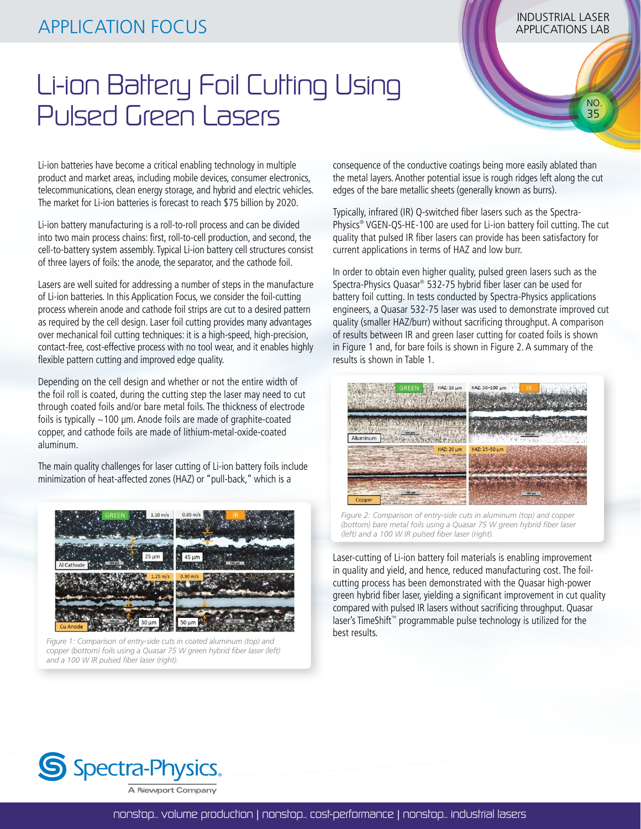## INDUSTRIAL LASER APPLICATION FOCUS APPLICATIONS LAB

 NO. 35

## Li-ion Battery Foil Cutting Using Pulsed Green Lasers

consequence of the conductive coatings being more easily ablated than the metal layers. Another potential issue is rough ridges left along the cut edges of the bare metallic sheets (generally known as burrs).

Typically, infrared (IR) Q-switched fiber lasers such as the Spectra-Physics® VGEN-QS-HE-100 are used for Li-ion battery foil cutting. The cut quality that pulsed IR fiber lasers can provide has been satisfactory for current applications in terms of HAZ and low burr.

In order to obtain even higher quality, pulsed green lasers such as the Spectra-Physics Quasar® 532-75 hybrid fiber laser can be used for battery foil cutting. In tests conducted by Spectra-Physics applications engineers, a Quasar 532-75 laser was used to demonstrate improved cut quality (smaller HAZ/burr) without sacrificing throughput. A comparison of results between IR and green laser cutting for coated foils is shown in Figure 1 and, for bare foils is shown in Figure 2. A summary of the results is shown in Table 1.



*Figure 2: Comparison of entry-side cuts in aluminum (top) and copper (bottom) bare metal foils using a Quasar 75 W green hybrid fiber laser (left) and a 100 W IR pulsed fiber laser (right).*

Laser-cutting of Li-ion battery foil materials is enabling improvement in quality and yield, and hence, reduced manufacturing cost. The foilcutting process has been demonstrated with the Quasar high-power green hybrid fiber laser, yielding a significant improvement in cut quality compared with pulsed IR lasers without sacrificing throughput. Quasar laser's TimeShift™ programmable pulse technology is utilized for the best results.

Li-ion batteries have become a critical enabling technology in multiple product and market areas, including mobile devices, consumer electronics, telecommunications, clean energy storage, and hybrid and electric vehicles. The market for Li-ion batteries is forecast to reach \$75 billion by 2020.

Li-ion battery manufacturing is a roll-to-roll process and can be divided into two main process chains: first, roll-to-cell production, and second, the cell-to-battery system assembly. Typical Li-ion battery cell structures consist of three layers of foils: the anode, the separator, and the cathode foil.

Lasers are well suited for addressing a number of steps in the manufacture of Li-ion batteries. In this Application Focus, we consider the foil-cutting process wherein anode and cathode foil strips are cut to a desired pattern as required by the cell design. Laser foil cutting provides many advantages over mechanical foil cutting techniques: it is a high-speed, high-precision, contact-free, cost-effective process with no tool wear, and it enables highly flexible pattern cutting and improved edge quality.

Depending on the cell design and whether or not the entire width of the foil roll is coated, during the cutting step the laser may need to cut through coated foils and/or bare metal foils. The thickness of electrode foils is typically  $\sim$  100 µm. Anode foils are made of graphite-coated copper, and cathode foils are made of lithium-metal-oxide-coated aluminum.

The main quality challenges for laser cutting of Li-ion battery foils include minimization of heat-affected zones (HAZ) or "pull-back," which is a



*Figure 1: Comparison of entry-side cuts in coated aluminum (top) and copper (bottom) foils using a Quasar 75 W green hybrid fiber laser (left) and a 100 W IR pulsed fiber laser (right).*